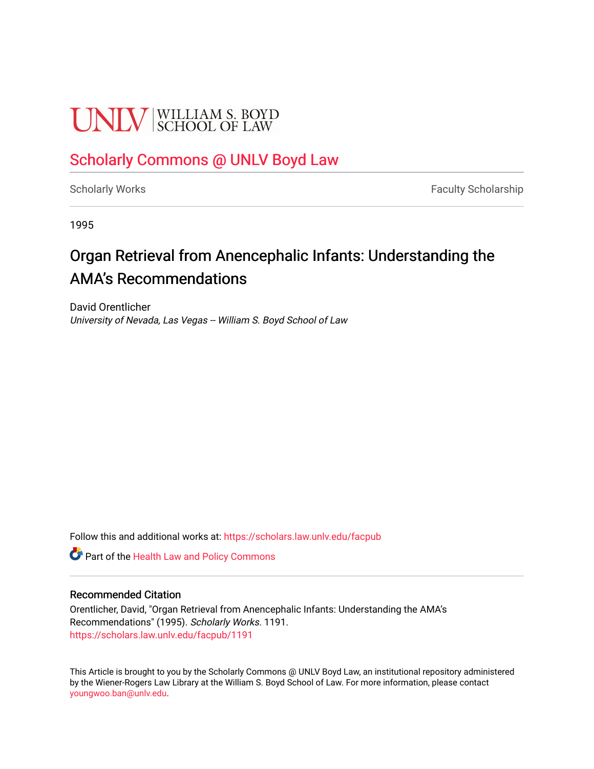# **UNLV** SCHOOL OF LAW

## [Scholarly Commons @ UNLV Boyd Law](https://scholars.law.unlv.edu/)

[Scholarly Works](https://scholars.law.unlv.edu/facpub) **Faculty Scholarship** Faculty Scholarship

1995

# Organ Retrieval from Anencephalic Infants: Understanding the AMA's Recommendations

David Orentlicher University of Nevada, Las Vegas -- William S. Boyd School of Law

Follow this and additional works at: [https://scholars.law.unlv.edu/facpub](https://scholars.law.unlv.edu/facpub?utm_source=scholars.law.unlv.edu%2Ffacpub%2F1191&utm_medium=PDF&utm_campaign=PDFCoverPages)

**C** Part of the Health Law and Policy Commons

#### Recommended Citation

Orentlicher, David, "Organ Retrieval from Anencephalic Infants: Understanding the AMA's Recommendations" (1995). Scholarly Works. 1191. [https://scholars.law.unlv.edu/facpub/1191](https://scholars.law.unlv.edu/facpub/1191?utm_source=scholars.law.unlv.edu%2Ffacpub%2F1191&utm_medium=PDF&utm_campaign=PDFCoverPages) 

This Article is brought to you by the Scholarly Commons @ UNLV Boyd Law, an institutional repository administered by the Wiener-Rogers Law Library at the William S. Boyd School of Law. For more information, please contact [youngwoo.ban@unlv.edu.](mailto:youngwoo.ban@unlv.edu)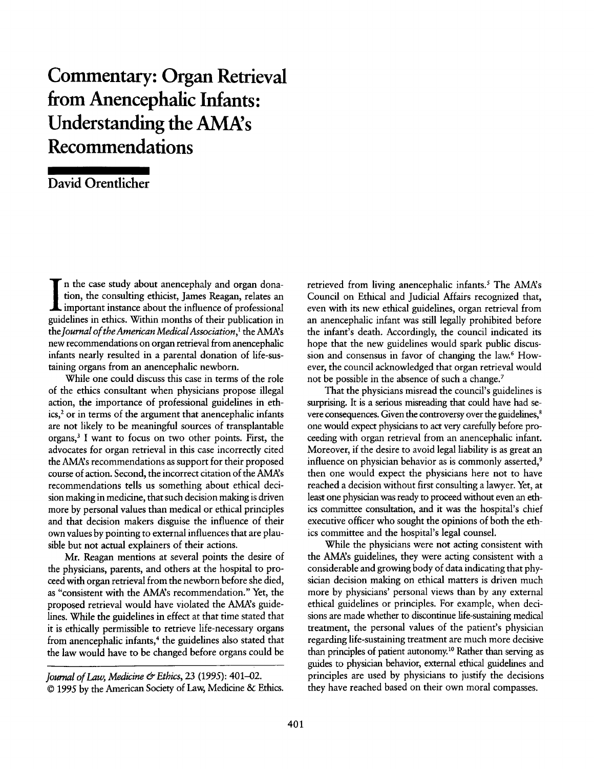# **Commentary: Organ Retrieval from Anencephalic Infants: Understanding the AMA's Recommendations**

### David Orentlicher

n the case study about anencephaly and organ donation, the consulting ethicist, James Reagan, relates an important instance about the influence of professional guidelines in ethics. Within months of their publication in *the Journal of the American MedicalAssociation,'* the AMA's new recommendations on organ retrieval from anencephalic infants nearly resulted in a parental donation of life-sustaining organs from an anencephalic newborn.

While one could discuss this case in terms of the role of the ethics consultant when physicians propose illegal action, the importance of professional guidelines in eth**ics, <sup>2</sup>**or in terms of the argument that anencephalic infants are not likely to be meaningful sources of transplantable organs,<sup>3</sup> I want to focus on two other points. First, the advocates for organ retrieval in this case incorrectly cited the AMAs recommendations as support for their proposed course of action. Second, the incorrect citation of the AMAs recommendations tells us something about ethical decision making in medicine, that such decision making is driven more by personal values than medical or ethical principles and that decision makers disguise the influence of their own values **by** pointing to external influences that are plausible but not actual explainers of their actions.

Mr. Reagan mentions at several points the desire of the physicians, parents, and others at the hospital to proceed with organ retrieval from the newborn before she died, as "consistent with the AMA's recommendation." Yet, the proposed retrieval would have violated the AMA's guidelines. While the guidelines in effect at that time stated that it is ethically permissible to retrieve life-necessary organs from anencephalic infants,<sup>4</sup> the guidelines also stated that the law would have to be changed before organs could be

retrieved from living anencephalic infants.<sup>5</sup> The AMA's Council on Ethical and Judicial Affairs recognized that, even with its new ethical guidelines, organ retrieval from an anencephalic infant was still legally prohibited before the infant's death. Accordingly, the council indicated its hope that the new guidelines would spark public discussion and consensus in favor of changing the **law.6** However, the council acknowledged that organ retrieval would not be possible in the absence of such a change.<sup>7</sup>

That the physicians misread the council's guidelines **is** surprising. It is a serious misreading that could have had severe consequences. Given the controversy over the guidelines,<sup>8</sup> one would expect physicians to act very carefully before proceeding with organ retrieval from an anencephalic infant. Moreover, if the desire to avoid legal liability is as great an influence on physician behavior as is commonly asserted.<sup>9</sup> then one would expect the physicians here not to have reached a decision without first consulting a lawyer. Yet, at least one physician was ready to proceed without even an ethics committee consultation, and it was the hospital's chief executive officer who sought the opinions of both the ethics committee and the hospital's legal counsel.

While the physicians were not acting consistent with the AMA's guidelines, they were acting consistent with a considerable and growing body of data indicating that **phy**sician decision making on ethical matters is driven much more by physicians' personal views than by any external ethical guidelines or principles. For example, when decisions are made whether to discontinue life-sustaining medical treatment, the personal values of the patient's physician regarding life-sustaining treatment are much more decisive than principles of patient autonomy.<sup>10</sup> Rather than serving as guides to physician behavior, external ethical guidelines and principles are used by physicians to justify the decisions they have reached based on their own moral compasses.

*Journal of Law, Medicine & Ethics,* **23 (1995):** 401-02. *© 1995* by the American Society of Law, Medicine **&** Ethics.